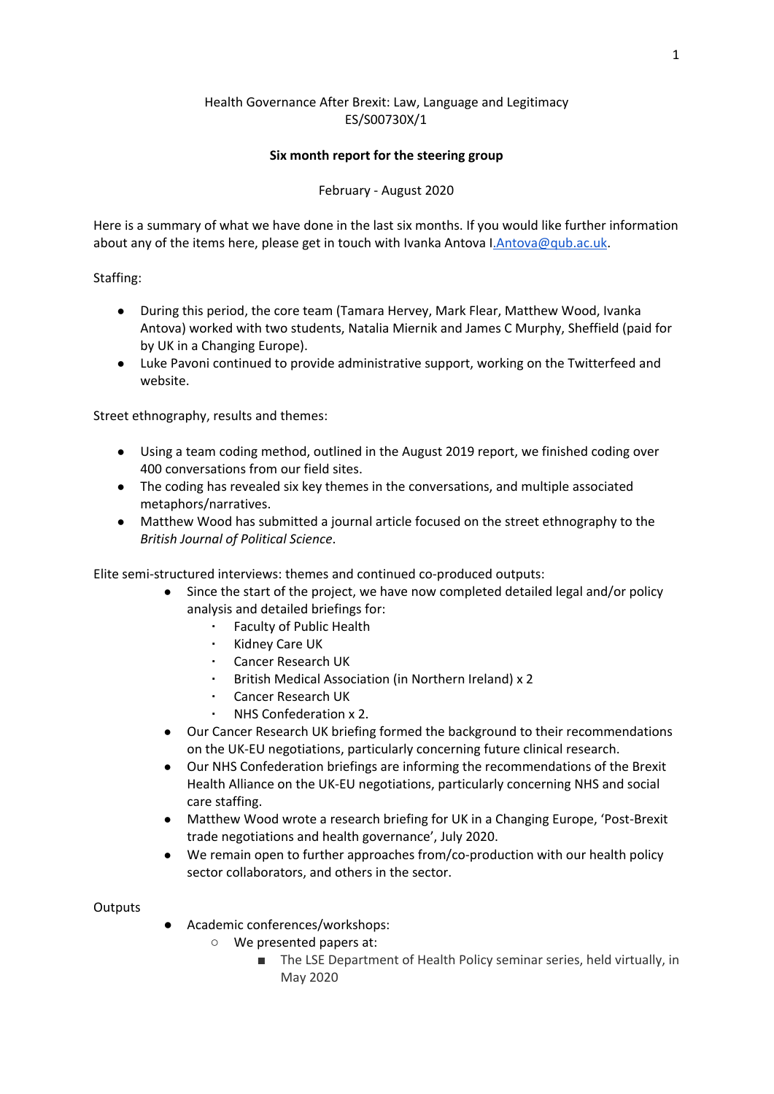# Health Governance After Brexit: Law, Language and Legitimacy ES/S00730X/1

### **Six month report for the steering group**

## February - August 2020

Here is a summary of what we have done in the last six months. If you would like further information about any of the items here, please get in touch with Ivanka Antova I. Antova@qub.ac.uk.

### Staffing:

- During this period, the core team (Tamara Hervey, Mark Flear, Matthew Wood, Ivanka Antova) worked with two students, Natalia Miernik and James C Murphy, Sheffield (paid for by UK in a Changing Europe).
- Luke Pavoni continued to provide administrative support, working on the Twitterfeed and website.

Street ethnography, results and themes:

- Using a team coding method, outlined in the August 2019 report, we finished coding over 400 conversations from our field sites.
- The coding has revealed six key themes in the conversations, and multiple associated metaphors/narratives.
- Matthew Wood has submitted a journal article focused on the street ethnography to the *British Journal of Political Science*.

Elite semi-structured interviews: themes and continued co-produced outputs:

- Since the start of the project, we have now completed detailed legal and/or policy analysis and detailed briefings for:
	- **Faculty of Public Health**
	- Kidney Care UK
	- Cancer Research UK
	- British Medical Association (in Northern Ireland) x 2
	- Cancer Research UK
	- NHS Confederation x 2.
- Our Cancer Research UK briefing formed the background to their recommendations on the UK-EU negotiations, particularly concerning future clinical research.
- Our NHS Confederation briefings are informing the recommendations of the Brexit Health Alliance on the UK-EU negotiations, particularly concerning NHS and social care staffing.
- Matthew Wood wrote a research briefing for UK in a Changing Europe, 'Post-Brexit trade negotiations and health governance', July 2020.
- We remain open to further approaches from/co-production with our health policy sector collaborators, and others in the sector.

#### **Outputs**

- Academic conferences/workshops:
	- We presented papers at:
		- The LSE Department of Health Policy seminar series, held virtually, in May 2020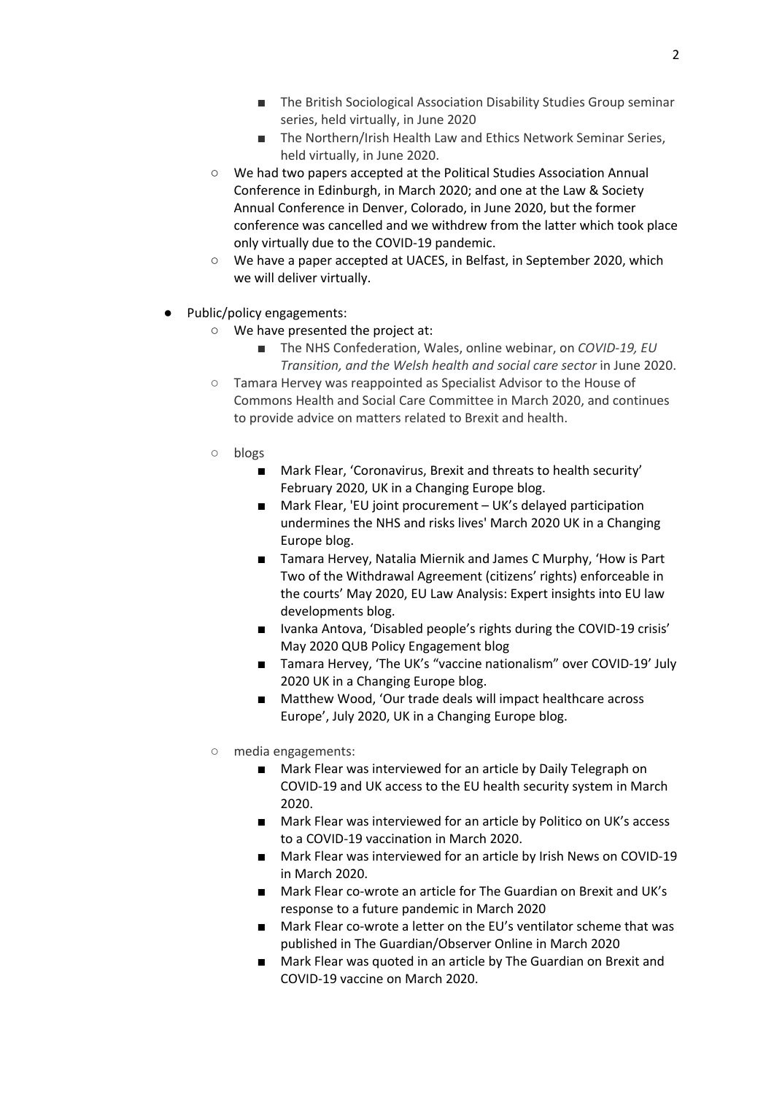- The British Sociological Association Disability Studies Group seminar series, held virtually, in June 2020
- The Northern/Irish Health Law and Ethics Network Seminar Series, held virtually, in June 2020.
- We had two papers accepted at the Political Studies Association Annual Conference in Edinburgh, in March 2020; and one at the Law & Society Annual Conference in Denver, Colorado, in June 2020, but the former conference was cancelled and we withdrew from the latter which took place only virtually due to the COVID-19 pandemic.
- We have a paper accepted at UACES, in Belfast, in September 2020, which we will deliver virtually.
- Public/policy engagements:
	- We have presented the project at:
		- The NHS Confederation, Wales, online webinar, on *COVID-19, EU Transition, and the Welsh health and social care sector* in June 2020.
	- Tamara Hervey was reappointed as Specialist Advisor to the House of Commons Health and Social Care Committee in March 2020, and continues to provide advice on matters related to Brexit and health.
	- blogs
		- Mark Flear, 'Coronavirus, Brexit and threats to health security' February 2020, UK in a Changing Europe blog.
		- Mark Flear, 'EU joint procurement UK's delayed participation undermines the NHS and risks lives' March 2020 UK in a Changing Europe blog.
		- Tamara Hervey, Natalia Miernik and James C Murphy, 'How is Part Two of the Withdrawal Agreement (citizens' rights) enforceable in the courts' May 2020, EU Law Analysis: Expert insights into EU law developments blog.
		- Ivanka Antova, 'Disabled people's rights during the COVID-19 crisis' May 2020 QUB Policy Engagement blog
		- Tamara Hervey, 'The UK's "vaccine nationalism" over COVID-19' July 2020 UK in a Changing Europe blog.
		- Matthew Wood, 'Our trade deals will impact healthcare across Europe', July 2020, UK in a Changing Europe blog.
	- media engagements:
		- Mark Flear was interviewed for an article by Daily Telegraph on COVID-19 and UK access to the EU health security system in March 2020.
		- Mark Flear was interviewed for an article by Politico on UK's access to a COVID-19 vaccination in March 2020.
		- Mark Flear was interviewed for an article by Irish News on COVID-19 in March 2020.
		- Mark Flear co-wrote an article for The Guardian on Brexit and UK's response to a future pandemic in March 2020
		- Mark Flear co-wrote a letter on the EU's ventilator scheme that was published in The Guardian/Observer Online in March 2020
		- Mark Flear was quoted in an article by The Guardian on Brexit and COVID-19 vaccine on March 2020.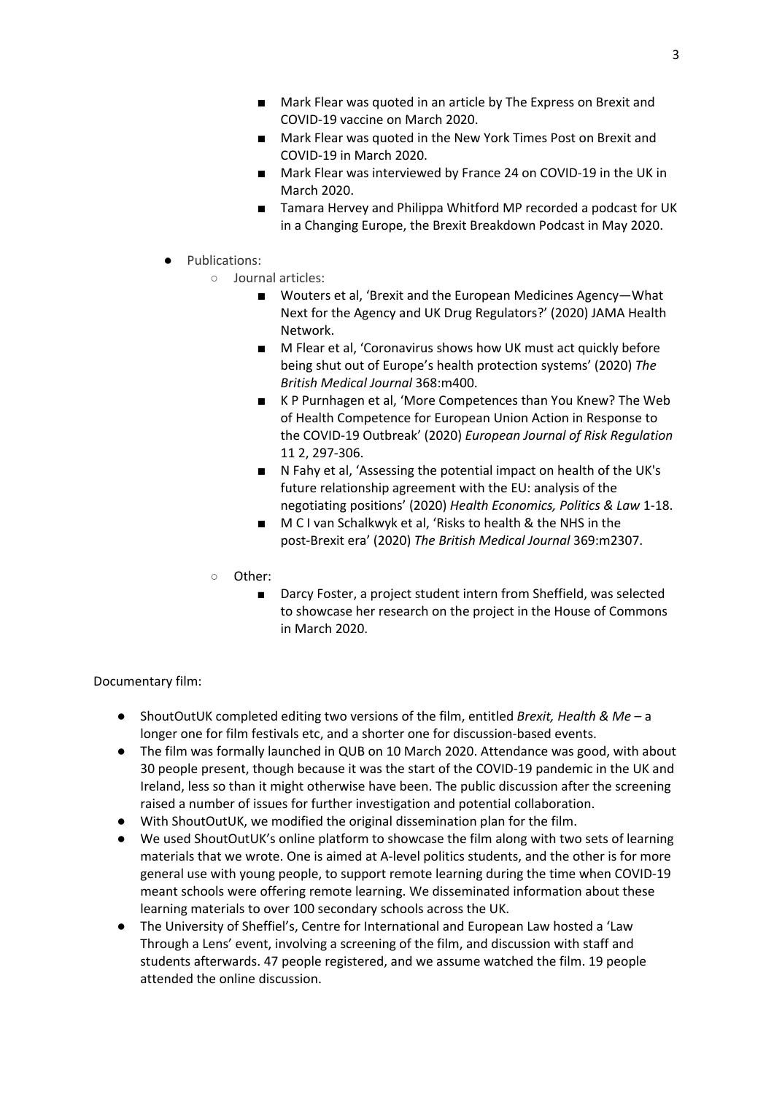- Mark Flear was quoted in an article by The Express on Brexit and COVID-19 vaccine on March 2020.
- Mark Flear was quoted in the New York Times Post on Brexit and COVID-19 in March 2020.
- Mark Flear was interviewed by France 24 on COVID-19 in the UK in March 2020.
- Tamara Hervey and Philippa Whitford MP recorded a podcast for UK in a Changing Europe, the Brexit Breakdown Podcast in May 2020.
- Publications:
	- Journal articles:
		- Wouters et al, 'Brexit and the European Medicines Agency-What Next for the Agency and UK Drug Regulators?' (2020) JAMA Health Network.
		- M Flear et al, 'Coronavirus shows how UK must act quickly before being shut out of Europe's health protection systems' (2020) *The British Medical Journal* 368:m400.
		- K P Purnhagen et al, 'More Competences than You Knew? The Web of Health Competence for European Union Action in Response to the COVID-19 Outbreak' (2020) *European Journal of Risk Regulation* 11 2, 297-306.
		- N Fahy et al, 'Assessing the potential impact on health of the UK's future relationship agreement with the EU: analysis of the negotiating positions' (2020) *Health Economics, Politics & Law* 1-18.
		- M C I van Schalkwyk et al, 'Risks to health & the NHS in the post-Brexit era' (2020) *The British Medical Journal* 369:m2307.
	- Other:
		- Darcy Foster, a project student intern from Sheffield, was selected to showcase her research on the project in the House of Commons in March 2020.

## Documentary film:

- ShoutOutUK completed editing two versions of the film, entitled *Brexit, Health & Me* a longer one for film festivals etc, and a shorter one for discussion-based events.
- The film was formally launched in QUB on 10 March 2020. Attendance was good, with about 30 people present, though because it was the start of the COVID-19 pandemic in the UK and Ireland, less so than it might otherwise have been. The public discussion after the screening raised a number of issues for further investigation and potential collaboration.
- With ShoutOutUK, we modified the original dissemination plan for the film.
- We used ShoutOutUK's online platform to showcase the film along with two sets of learning materials that we wrote. One is aimed at A-level politics students, and the other is for more general use with young people, to support remote learning during the time when COVID-19 meant schools were offering remote learning. We disseminated information about these learning materials to over 100 secondary schools across the UK.
- The University of Sheffiel's, Centre for International and European Law hosted a 'Law Through a Lens' event, involving a screening of the film, and discussion with staff and students afterwards. 47 people registered, and we assume watched the film. 19 people attended the online discussion.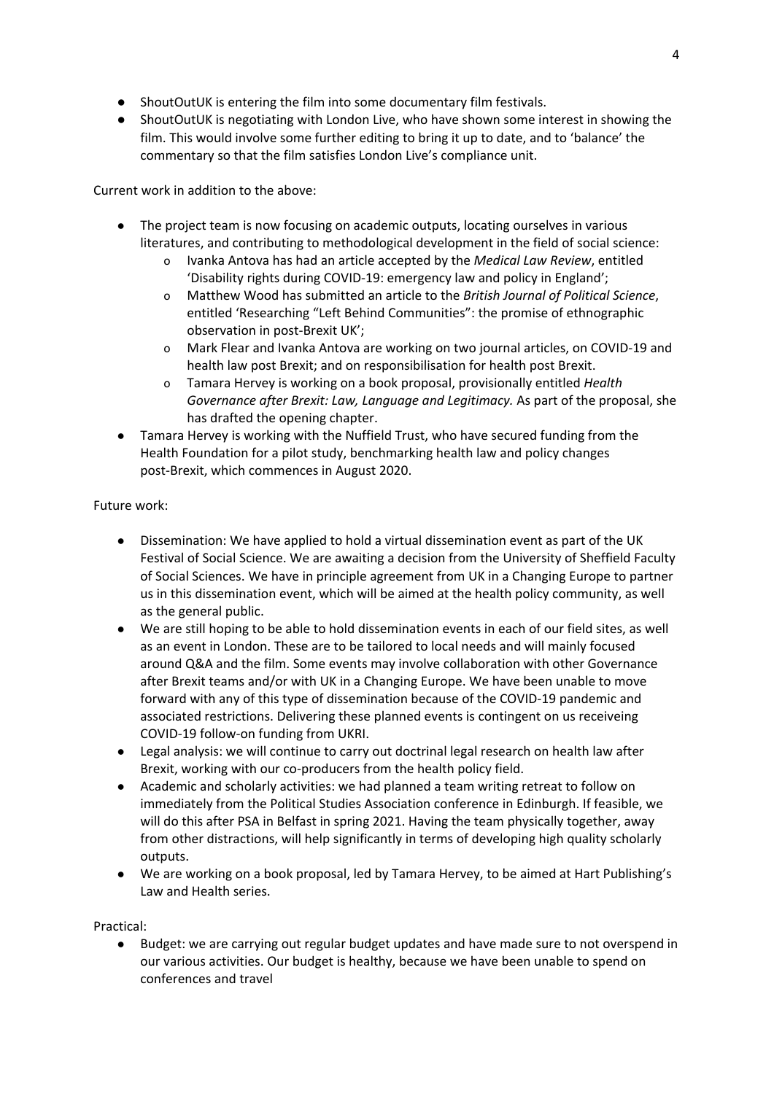- ShoutOutUK is entering the film into some documentary film festivals.
- ShoutOutUK is negotiating with London Live, who have shown some interest in showing the film. This would involve some further editing to bring it up to date, and to 'balance' the commentary so that the film satisfies London Live's compliance unit.

Current work in addition to the above:

- The project team is now focusing on academic outputs, locating ourselves in various literatures, and contributing to methodological development in the field of social science:
	- o Ivanka Antova has had an article accepted by the *Medical Law Review*, entitled 'Disability rights during COVID-19: emergency law and policy in England';
	- o Matthew Wood has submitted an article to the *British Journal of Political Science*, entitled 'Researching "Left Behind Communities": the promise of ethnographic observation in post-Brexit UK';
	- o Mark Flear and Ivanka Antova are working on two journal articles, on COVID-19 and health law post Brexit; and on responsibilisation for health post Brexit.
	- o Tamara Hervey is working on a book proposal, provisionally entitled *Health Governance after Brexit: Law, Language and Legitimacy.* As part of the proposal, she has drafted the opening chapter.
- Tamara Hervey is working with the Nuffield Trust, who have secured funding from the Health Foundation for a pilot study, benchmarking health law and policy changes post-Brexit, which commences in August 2020.

# Future work:

- Dissemination: We have applied to hold a virtual dissemination event as part of the UK Festival of Social Science. We are awaiting a decision from the University of Sheffield Faculty of Social Sciences. We have in principle agreement from UK in a Changing Europe to partner us in this dissemination event, which will be aimed at the health policy community, as well as the general public.
- We are still hoping to be able to hold dissemination events in each of our field sites, as well as an event in London. These are to be tailored to local needs and will mainly focused around Q&A and the film. Some events may involve collaboration with other Governance after Brexit teams and/or with UK in a Changing Europe. We have been unable to move forward with any of this type of dissemination because of the COVID-19 pandemic and associated restrictions. Delivering these planned events is contingent on us receiveing COVID-19 follow-on funding from UKRI.
- Legal analysis: we will continue to carry out doctrinal legal research on health law after Brexit, working with our co-producers from the health policy field.
- Academic and scholarly activities: we had planned a team writing retreat to follow on immediately from the Political Studies Association conference in Edinburgh. If feasible, we will do this after PSA in Belfast in spring 2021. Having the team physically together, away from other distractions, will help significantly in terms of developing high quality scholarly outputs.
- We are working on a book proposal, led by Tamara Hervey, to be aimed at Hart Publishing's Law and Health series.

## Practical:

● Budget: we are carrying out regular budget updates and have made sure to not overspend in our various activities. Our budget is healthy, because we have been unable to spend on conferences and travel